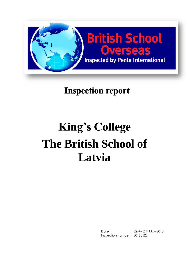

# **Inspection report**

# **King's College The British School of Latvia**

Date 22<sup>nd</sup> – 24<sup>th</sup> May 2018 Inspection number 20180522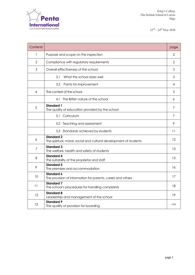

**22nd – 24thMay 2018**

| Contents       |                                                                                        | page           |
|----------------|----------------------------------------------------------------------------------------|----------------|
| 1              | Purpose and scope on the inspection                                                    | $\overline{2}$ |
| $\overline{2}$ | Compliance with regulatory requirements                                                | $\overline{2}$ |
| 3              | Overall effectiveness of the school                                                    | 3              |
|                | What the school does well<br>3.1                                                       | 3              |
|                | Points for improvement<br>3.2                                                          | 4              |
| 4              | The context of the school                                                              | 5              |
|                | 4.1 The British nature of the school                                                   | 6              |
| 5              | <b>Standard 1</b><br>The quality of education provided by the school                   | 7              |
|                | 5.1 Curriculum                                                                         | 7              |
|                | 5.2 Teaching and assessment                                                            | 9              |
|                | 5.3 Standards achieved by students                                                     | 11             |
| 6              | <b>Standard 2</b><br>The spiritual, moral, social and cultural development of students | 12             |
| 7              | <b>Standard 3</b><br>The welfare, health and safety of students                        | 13             |
| 8              | <b>Standard 4</b><br>The suitability of the proprietor and staff                       | 15             |
| 9              | <b>Standard 5</b><br>The premises and accommodation                                    | 16             |
| 10             | Standard 6<br>The provision of information for parents, carers and others              | 17             |
| 11             | <b>Standard 7</b><br>The school's procedures for handling complaints                   | 18             |
| 12             | <b>Standard 8</b><br>Leadership and management of the school                           | 19             |
| 13             | <b>Standard 9</b><br>The quality of provision for boarding                             | n/a            |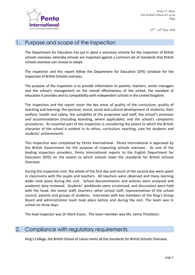

#### 1. Purpose and scope of the inspection

The Department for Education has put in place a voluntary scheme for the inspection of British schools overseas, whereby schools are inspected against a common set of standards that British schools overseas can choose to adopt.

The inspection and this report follow the Department for Education (DFE) schedule for the inspection of British Schools overseas.

The purpose of the inspection is to provide information to parents, teachers, senior managers and the school's management on the overall effectiveness of the school, the standard of education it provides and its compatibility with independent schools in the United Kingdom.

The inspection and the report cover the key areas of quality of the curriculum; quality of teaching and learning; the spiritual, moral, social and cultural development of students; their welfare, health and safety; the suitability of the proprietor and staff; the school's premises and accommodation (including boarding, where applicable); and the school's complaints procedures. An essential part of the inspection is considering the extent to which the British character of the school is evident in its ethos, curriculum, teaching, care for students and students' achievements.

This inspection was completed by Penta International. Penta International is approved by the British Government for the purpose of inspecting schools overseas. As one of the leading inspection providers, Penta International reports to the English Department for Education (DFE) on the extent to which schools meet the standards for British Schools Overseas.

During the inspection visit, the whole of the first day and much of the second day were spent in classrooms with the pupils and teachers. All teachers were observed and many learning walks took place during the visit. School documentation and policies were analysed and academic data reviewed. Students' workbooks were scrutinised, and discussions were held with the head, the senior staff, teachers, other school staff, representatives of the school council, parents and groups of students. Interviews with key members of the King's Group Board and administration team took place before and during the visit. The team was in school on three days.

The lead inspector was Dr Mark Evans. The team member was Ms. Jaime Thistleton.

#### 2. Compliance with regulatory requirements

King's College, the British School of Latvia meets all the standards for British Schools Overseas.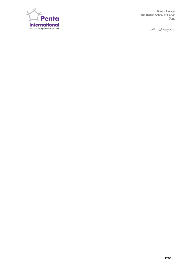

**22nd – 24thMay 2018**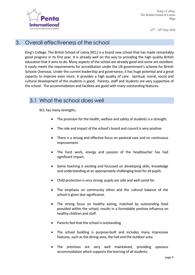

**22nd – 24thMay 2018**

#### 3. Overall effectiveness of the school

King's College, The British School of Latvia (KCL) is a brand new school that has made remarkably good progress in its first year. It is already well on the way to providing the high quality British education that it aims to do. Many aspects of the school are already good and some are excellent. It easily meets the requirements for accreditation under the UK government's scheme for British Schools Overseas. Under the current leadership and governance, it has huge potential and a great capacity to improve even more. It provides a high quality of care. Spiritual, moral, social and cultural development of the students is good. Parents, staff and students are very supportive of the school. The accommodation and facilities are good with many outstanding features.

#### 3.1 What the school does well

KCL has many strengths.

- The provision for the health, welfare and safety of students is a strength.
- The role and impact of the school's board and council is very positive.
- There is a strong and effective focus on pastoral care and on continuous improvement.
- The hard work, energy and passion of the headteacher has had significant impact.
- Some teaching is exciting and focussed on developing skills, knowledge and understanding at an appropriately challenging level for all pupils.
- Child protection is very strong: pupils are safe and well cared for.
- The emphasis on community ethos and the cultural balance of the school is given due significance.
- The strong focus on healthy eating, matched by outstanding food provided within the school, results in a formidable positive influence on healthy children and staff.
- Parents feel that the school is outstanding
- The school building is purpose-built and includes many impressive features, such as the dining area, the hall and the outdoor area.
- The premises are very well maintained, providing spacious accommodation which supports the learning of all students.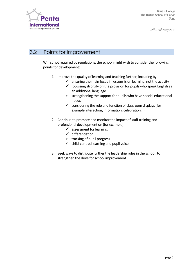

**22nd – 24thMay 2018**

#### 3.2 Points for improvement

Whilst not required by regulations, the school might wish to consider the following points for development:

- 1. Improve the quality of learning and teaching further, including by
	- $\checkmark$  ensuring the main focus in lessons is on learning, not the activity
	- $\checkmark$  focussing strongly on the provision for pupils who speak English as an additional language
	- $\checkmark$  strengthening the support for pupils who have special educational needs
	- $\checkmark$  considering the role and function of classroom displays (for example interaction, information, celebration…)
- 2. Continue to promote and monitor the impact of staff training and professional development on (for example)
	- $\checkmark$  assessment for learning
	- $\checkmark$  differentiation
	- $\checkmark$  tracking of pupil progress
	- $\checkmark$  child-centred learning and pupil voice
- 3. Seek ways to distribute further the leadership roles in the school, to strengthen the drive for school improvement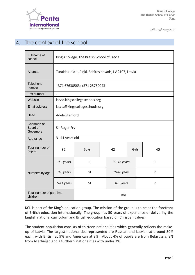

### 4. The context of the school

| Full name of<br>school                | King's College, The British School of Latvia            |             |  |             |  |                  |    |  |
|---------------------------------------|---------------------------------------------------------|-------------|--|-------------|--|------------------|----|--|
| <b>Address</b>                        | Turaidas iela 1, Piņķi, Babītes novads, LV 2107, Latvia |             |  |             |  |                  |    |  |
| Telephone<br>number                   | +371 67630563; +371 25759043                            |             |  |             |  |                  |    |  |
| Fax number                            | $\overline{a}$                                          |             |  |             |  |                  |    |  |
| Website                               | latvia.kingscollegeschools.org                          |             |  |             |  |                  |    |  |
| <b>Email address</b>                  | latvia@kingscollegeschools.org                          |             |  |             |  |                  |    |  |
| Head                                  | Adele Stanford                                          |             |  |             |  |                  |    |  |
| Chairman of<br>Board of<br>Governors  | Sir Roger Fry                                           |             |  |             |  |                  |    |  |
| Age range                             | 3 - 11 years old                                        |             |  |             |  |                  |    |  |
| Total number of<br>pupils             | 82                                                      | <b>Boys</b> |  | Girls<br>42 |  |                  | 40 |  |
|                                       | 0-2 years                                               | 0           |  | 11-16 years |  | $\mathbf 0$      |    |  |
| Numbers by age                        | 3-5 years                                               | 31          |  | 16-18 years |  | $\mathbf{0}$     |    |  |
|                                       | 5-11 years                                              | 51          |  | 18+ years   |  | $\boldsymbol{0}$ |    |  |
| Total number of part-time<br>children | n/a                                                     |             |  |             |  |                  |    |  |

KCL is part of the King's education group. The mission of the group is to be at the forefront of British education internationally. The group has 50 years of experience of delivering the English national curriculum and British education based on Christian values.

The student population consists of thirteen nationalities which generally reflects the makeup of Latvia. The largest nationalities represented are Russian and Latvian at around 30% each, with British at 9% and American at 8%. About 4% of pupils are from Belarussia, 3% from Azerbaijan and a further 9 nationalities with under 3%.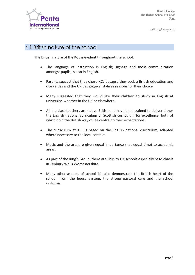

#### 4.1 British nature of the school

The British nature of the KCL is evident throughout the school.

- The language of instruction is English; signage and most communication amongst pupils, is also in English.
- Parents suggest that they chose KCL because they seek a British education and cite values and the UK pedagogical style as reasons for their choice.
- Many suggested that they would like their children to study in English at university, whether in the UK or elsewhere.
- All the class teachers are native British and have been trained to deliver either the English national curriculum or Scottish curriculum for excellence, both of which hold the British way of life central to their expectations.
- The curriculum at KCL is based on the English national curriculum, adapted where necessary to the local context.
- Music and the arts are given equal importance (not equal time) to academic areas.
- As part of the King's Group, there are links to UK schools especially St Michaels in Tenbury Wells Worcestershire.
- Many other aspects of school life also demonstrate the British heart of the school, from the house system, the strong pastoral care and the school uniforms.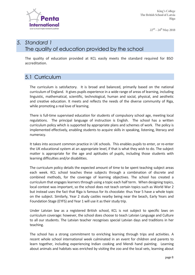

**22nd – 24thMay 2018**

#### *5. Standard 1* The quality of education provided by the school

The quality of education provided at KCL easily meets the standard required for BSO accreditation.

#### 5.1 Curriculum

The curriculum is satisfactory. It is broad and balanced, primarily based on the national curriculum of England. It gives pupils experience in a wide range of areas of learning, including linguistic, mathematical, scientific, technological, human and social, physical, and aesthetic and creative education. It meets and reflects the needs of the diverse community of Riga, while promoting a real love of learning.

There is full-time supervised education for students of compulsory school age, meeting local regulations. The principal language of instruction is English. The school has a written curriculum policy which is supported by appropriate plans and schemes of work. The policy is implemented effectively, enabling students to acquire skills in speaking, listening, literacy and numeracy.

It takes into account common practice in UK schools. This enables pupils to enter, or re-enter the UK educational system at an appropriate level, if that is what they wish to do. The subject matter is appropriate for the age and aptitudes of pupils, including those students with learning difficulties and/or disabilities.

The curriculum policy details the expected amount of time to be spent teaching subject areas each week. KCL school teaches these subjects through a combination of discrete and combined methods, for the coverage of learning objectives. The school has created a curriculum that engages learners through using a topic each half term. When designing topics, local context was important, so the school does not teach certain topics such as World War 2 but instead uses the fact that Riga is famous for its chocolate: thus Year 5 have a whole topic on the subject. Similarly, Year 2 study castles nearby being near the beach, Early Years and Foundation Stage (EYFS) and Year 1 will use it as their study trip.

Under Latvian law as a registered British school, KCL is not subject to specific laws on curriculum coverage: however, the school does choose to teach Latvian Language and Culture to all our students. The Latvian teacher recognises special Latvian days and traditions in her teaching.

The school has a strong commitment to enriching learning through trips and activities. A recent whole school international week culminated in an event for children and parents to learn together, including experiencing Indian cooking and Mendi hand painting. Learning about animals and habitats was enriched by visiting the zoo and the local vets, learning about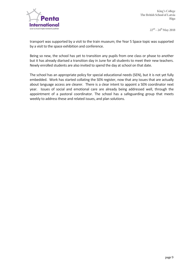

transport was supported by a visit to the train museum; the Year 5 Space topic was supported by a visit to the space exhibition and conference.

Being so new, the school has yet to transition any pupils from one class or phase to another but it has already diarised a transition day in June for all students to meet their new teachers. Newly enrolled students are also invited to spend the day at school on that date.

The school has an appropriate policy for special educational needs (SEN), but it is not yet fully embedded. Work has started collating the SEN register, now that any issues that are actually about language access are clearer. There is a clear intent to appoint a SEN coordinator next year. Issues of social and emotional care are already being addressed well, through the appointment of a pastoral coordinator. The school has a safeguarding group that meets weekly to address these and related issues, and plan solutions.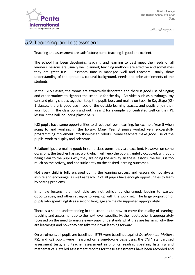

#### 5.2 Teaching and assessment

Teaching and assessment are satisfactory; some teaching is good or excellent.

The school has been developing teaching and learning to best meet the needs of all learners. Lessons are usually well planned; teaching methods are effective and sometimes they are great fun. Classroom time is managed well and teachers usually show understanding of the aptitudes, cultural background, needs and prior attainments of the students.

In the EYFS classes, the rooms are attractively decorated and there is good use of singing and other routines to signpost the schedule for the day. Activities such as playdough, toy cars and gluing shapes together keep the pupils busy and mainly on-task. In Key Stage (KS) 1 classes, there is good use made of the outside learning spaces, and pupils enjoy their work both in the classroom and out. Year 2 for example, concentrated well on their PE lesson in the hall, bouncing plastic balls.

KS2 pupils have some opportunities to direct their own learning, for example Year 5 when going to and working in the library. Many Year 3 pupils worked very successfully programming movement into floor-based robots. Some teachers make good use of the pupils' work to display and celebrate.

Relationships are mainly good: in some classrooms, they are excellent. However on some occasions, the teacher has set work which will keep the pupils gainfully occupied, without it being clear to the pupils why they are doing the activity. In these lessons, the focus is too much on the activity, and not sufficiently on the desired learning outcomes.

Not every child is fully engaged during the learning process and lessons do not always inspire and encourage, as well as teach. Not all pupils have enough opportunities to learn by solving problems.

In a few lessons, the most able are not sufficiently challenged, leading to wasted opportunities, and others struggle to keep up with the work set. The large proportion of pupils who speak English as a second language are mainly supported appropriately.

There is a sound understanding in the school as to how to move the quality of learning, teaching and assessment up to the next level: specifically, the headteacher is appropriately focussed on the need to ensure every pupil understands what they are learning, why they are learning it and how they can take their own learning forward.

On enrolment, all pupils are baselined. EYFS were baselined against *Development Matters*; KS1 and KS2 pupils were measured on a one-to-one basis using the CAT4 standardised assessment tests, and teacher assessment in phonics, reading, speaking, listening and mathematics. Detailed assessment records for these assessments have been recorded and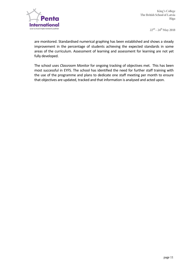

are monitored. Standardised numerical graphing has been established and shows a steady improvement in the percentage of students achieving the expected standards in some areas of the curriculum. Assessment of learning and assessment for learning are not yet fully developed.

The school uses *Classroom Monitor* for ongoing tracking of objectives met. This has been most successful in EYFS. The school has identified the need for further staff training with the use of the programme and plans to dedicate one staff meeting per month to ensure that objectives are updated, tracked and that information is analysed and acted upon.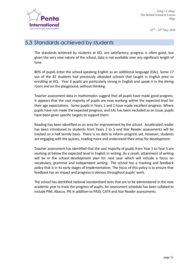

#### 5.3 Standards achieved by students

The standards achieved by students at KCL are satisfactory; progress is often good, but given the very new nature of the school, data is not available over any significant length of time.

80% of pupils enter the school speaking English as an additional language (EAL). Some 17 out of the 82 students had previously attended schools that taught in English prior to enrolling at KCL. Year 3 pupils are particularly strong in English and speak it in the dining room and on the playground, without thinking.

Teacher assessment data in mathematics suggest that all pupils have made good progress. It appears that the vast majority of pupils are now working within the expected level for their age expectations. Some pupils in Years 1 and 2 have made excellent progress. Where pupils have not made the expected progress, and EAL has been excluded as an issue, pupils have been given specific targets to support them.

Reading has been identified as an area for improvement by the school. Accelerated reader has been introduced to students from Years 2 to 5 and Star Reader assessments will be tracked on a half termly basis. There is no data to inform progress yet, however, students are engaging with the quizzes, reading more and understand their areas for development.

Teacher assessment has identified that the vast majority of pupils from Year 1 to Year 5 are working at below the expected level in English in writing. As a result, attainment of writing will be in the school development plan for next year which will include a focus on vocabulary, grammar and independent writing. The school has a marking and feedback policy that is in its early stages of implementation. The focus of this policy is to ensure that feedback has an impact and progress is obvious throughout pupils' work.

The school has identified national standardised tests that are to be administered in the next academic year to track the progress of pupils. An assessment schedule has been collated to include PIM, Abacus, PIE in addition to PASS, CAT4 and Star Reader assessments.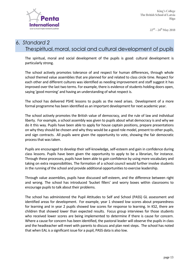

#### 6. *Standard 2* Thespiritual,moral, social and cultural development of pupils

The spiritual, moral and social development of the pupils is good: cultural development is particularly strong.

The school actively promotes tolerance of and respect for human differences, through whole school themed value assemblies that are planned for and related to class circle time. Respect for each other and different cultures was identified as needing improvement and staff suggest it has improved over the last two terms. For example, there is evidence of students holding doors open, saying 'good morning' and having an understanding of what respect is.

The school has delivered PSHE lessons to pupils as the need arises. Development of a more formal programme has been identified as an important development for next academic year.

The school actively promotes the British value of democracy, and the rule of law and individual liberty. For example, a school assembly was given to pupils about what democracy is and why we do it this way. Pupils have been able to apply for house captain positions, prepare presentations on why they should be chosen and why they would be a good role model, present to other pupils, and sign contracts. All pupils were given the opportunity to vote, showing the fair democratic process that was taken.

Pupils are encouraged to develop their self-knowledge, self-esteem and gain in confidence during class lessons. Pupils have been given the opportunity to apply to be a librarian, for instance. Through these processes, pupils have been able to gain confidence by using more vocabulary and taking on extra responsibilities. The formation of a school council would further involve students in the running of the school and provide additional opportunities to exercise leadership.

Through value assemblies, pupils have discussed self-esteem, and the difference between right and wrong. The school has introduced 'bucket fillers' and worry boxes within classrooms to encourage pupils to talk about their problems.

The school has administered the Pupil Attitudes to Self and School (PASS) GL assessment and identified areas for development. For example, year 1 showed low scores about preparedness for learning and in year 2 pupils showed low scores for response to learning. In KS2, there are children that showed lower than expected results. Focus group interviews for those students who received lower scores are being implemented to determine if there is cause for concern. Where a cause for concern has been identified, the pastoral leader will observe the pupils in class and the headteacher will meet with parents to discuss and plan next steps. The school has noted that when EAL is a significant issue for a pupil, PASS data is also low.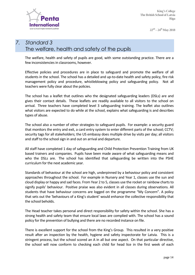

**22nd – 24thMay 2018**

#### *7. Standard 3* The welfare, health and safety of the pupils

The welfare, health and safety of pupils are good, with some outstanding practice. There are a few inconsistencies in classrooms, however.

Effective policies and procedures are in place to safeguard and promote the welfare of all students in the school. The school has a detailed and up-to-date health and safety policy, fire risk management policy and procedure, whistleblowing policy and safeguarding policy. Not all teachers were fully clear about the policies.

The school has a leaflet that outlines who the designated safeguarding leaders (DSLs) are and gives their contact details. These leaflets are readily available to all visitors to the school on arrival. Three teachers have completed level 3 safeguarding training. The leaflet also outlines what visitors are expected to do while at the school, explains what safeguarding is and describes types of abuse.

The school also a number of other strategies to safeguard pupils. For example: a security guard that monitors the entry and exit, a card entry system to enter different parts of the school; CCTV; security tags for all stakeholders; the US embassy does multiple drive by visits per day; all visitors and staff to the school sign in and out on arrival and departure.

All staff have completed 1 day of safeguarding and Child Protection Prevention Training from UK based trainers and companies. Pupils have been made aware of what safeguarding means and who the DSLs are. The school has identified that safeguarding be written into the PSHE curriculum for the next academic year.

Standards of behaviour at the school are high, underpinned by a behaviour policy and consistent approaches throughout the school. For example in Nursery and Year 1, classes use the sun and cloud display or happy and sad faces. From Year 2 to 5, classes use the rocket or rainbow charts to signify pupils' behaviour. Positive praise was also evident in all classes during observations. All students that have behaviour concerns are logged on the programme "My Concern". A policy that sets out the 'behaviours of a King's student' would enhance the collective responsibility that the school beholds.

The Head teacher takes personal and direct responsibility for safety within the school. She has a strong health and safety team that ensure local laws are complied with. The school has a sound policy for the prevention of bullying and there are no recorded instance on file.

There is excellent support for the school from the King's Group. This resulted in a very positive result after an inspection by the health, hygiene and safety inspectorate for Latvia. This is a stringent process, but the school scored an A in all but one aspect. On that particular directive, the school will now conform to checking each child for head lice in the first week of each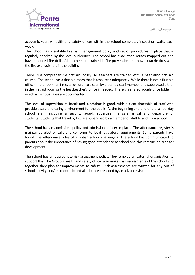

academic year. A health and safety officer within the school completes inspection walks each week.

The school has a suitable fire risk management policy and set of procedures in place that is regularly checked by the local authorities. The school has evacuation routes mapped out and have practiced fire drills. All teachers are trained in fire prevention and how to tackle fires with the fire extinguishers in the building.

There is a comprehensive first aid policy. All teachers are trained with a paediatric first aid course. The school has a first aid room that is resourced adequately. While there is not a first aid officer in the room full time, all children are seen by a trained staff member and supervised either in the first aid room or the headteacher's office if needed. There is a shared google drive folder in which all serious cases are documented.

The level of supervision at break and lunchtime is good, with a clear timetable of staff who provide a safe and caring environment for the pupils. At the beginning and end of the school day school staff, including a security guard, supervise the safe arrival and departure of students. Students that travel by taxi are supervised by a member of staff to and from school.

The school has an admissions policy and admissions officer in place. The attendance register is maintained electronically and conforms to local regulatory requirements. Some parents have found the attendance rules of a British school challenging. The school has communicated to parents about the importance of having good attendance at school and this remains an area for development.

The school has an appropriate risk assessment policy. They employ an external organisation to support this. The Group's health and safety officer also makes risk assessments of the school and together they plan for improvements to safety. Risk assessments are written for any out of school activity and/or school trip and all trips are preceded by an advance visit.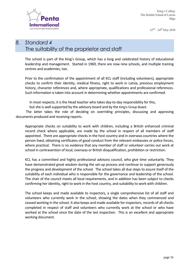

**22nd – 24thMay 2018**

#### *8. Standard 4* The suitability of the proprietor and staff

The school is part of the King's Group, which has a long and celebrated history of educational leadership and management. Started in 1969, there are now nine schools, and multiple training centres and academies, too.

Prior to the confirmation of the appointment of all KCL staff (including volunteers), appropriate checks to confirm their identity, medical fitness, right to work in Latvia, previous employment history, character references and, where appropriate, qualifications and professional references. Such information is taken into account in determining whether appointments are confirmed.

In most respects, it is the Head teacher who takes day-to-day responsibility for this,

but she is well supported by the advisory board and by the King's Group Board.

The latter takes the role of deciding on overriding principles, discussing and approving documents produced and receiving reports.

Appropriate checks on suitability to work with children, including a British enhanced criminal record check where applicable, are made by the school in respect of all members of staff appointed. There are appropriate checks in the host country and in overseas countries where the person lived, obtaining certificates of good conduct from the relevant embassies or police forces, where practical. There is no evidence that any member of staff or volunteer carries out work at school in contravention of local, overseas or British disqualification, prohibition or restriction.

KCL has a committed and highly professional advisory council, who give time voluntarily. They have demonstrated great wisdom during the set-up process and continue to support generously the progress and development of the school. The school takes all due steps to assure itself of the suitability of each individual who is responsible for the governance and leadership of the school. The chair of the council meets all local requirements, and in addition has been subject to checks confirming her identity, right to work in the host country, and suitability to work with children.

The school keeps and made available to inspectors, a single comprehensive list of all staff and volunteers who currently work in the school, showing the dates when they commenced and ceased working in the school. It also keeps and made available for inspectors, records of all checks completed in respect of staff and volunteers who currently work at the school or who have worked at the school since the date of the last inspection. This is an excellent and appropriate working document.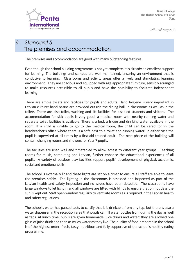

**22nd – 24thMay 2018**

#### *9. Standard 5* The premises and accommodation

The premises and accommodation are good with many outstanding features.

Even though the school building programme is not yet complete, it is already an excellent support for learning. The buildings and campus are well maintained, ensuring an environment that is conducive to learning. Classrooms and activity areas offer a lively and stimulating learning environment. They are spacious and equipped with age appropriate furniture, sensibly arranged to make resources accessible to all pupils and have the possibility to facilitate independent learning.

There are ample toilets and facilities for pupils and adults. Hand hygiene is very important in Latvian culture: hand basins are provided outside the dining hall, in classrooms as well as in the toilets. There are also toilet, washing and lift facilities for disabled students and visitors. The accommodation for sick pupils is very good: a medical room with nearby running water and separate toilet facilities is available. There is a bed, a fridge and drinking water available in the room. If a child is unable to go to the medical room, the child can be cared for in the headteacher's office where there is a sofa next to a toilet and running water. In either case the pupil is supervised at all times by a first aid trained adult. The next phase of the building will contain changing rooms and showers for Year 7 pupils.

The facilities are used well and timetabled to allow access to different year groups. Teaching rooms for music, computing and Latvian, further enhance the educational experiences of all pupils. A variety of outdoor play facilities support pupils' development of physical, academic, social and emotional skills.

The school is externally lit and these lights are set on a timer to ensure all staff are able to leave the premises safely. The lighting in the classrooms is assessed and inspected as part of the Latvian health and safety inspection and no issues have been detected. The classrooms have large windows to let light in and all windows are fitted with blinds to ensure that on hot days the sun is kept out. Staff open window regularly to ventilate rooms as is required in the Latvian health and safety regulations.

The school's water has passed tests to certify that it is drinkable from any tap, but there is also a water dispenser in the reception area that pupils can fill water bottles from during the day as well as taps. At lunch time, pupils are given homemade juice drinks and water: they are allowed one glass of juice drink and then as much water as they like. The quality of food prepared in the school is of the highest order: fresh, tasty, nutritious and fully supportive of the school's healthy eating programme.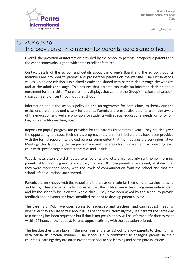

#### *10. Standard 6* The provision of information for parents, carers and others

Overall, the provision of information provided by the school to parents, prospective parents and the wider community is good with some excellent features.

Contact details of the school, and details about the Group's Board and the school's Council members are provided to parents and prospective parents on the website. The British ethos, values, vision and mission is explained clearly and shared with parents also through the website, and at the admissions stage. This ensures that parents can make an informed decision about enrolment for their child. There are many displays that confirm the Group's mission and values in classrooms and offices throughout the school.

Information about the school's policy on and arrangements for admissions, misbehaviour and exclusions are all provided clearly for parents. Parents and prospective parents are made aware of the education and welfare provision for students with special educational needs, or for whom English is an additional language.

Reports on pupils' progress are provided for the parents three times a year. They are also given the opportunity to discuss their child's progress and attainment, before they have been provided with the formal report. Interviewed parents commented that the meetings are very informative. Meetings clearly identify the progress made and the areas for improvement by providing each child with specific targets for mathematics and English.

Weekly newsletters are distributed to all parents and letters are regularly sent home informing parents of forthcoming events and policy matters. Of those parents interviewed, all stated that they were more than happy with the levels of communication from the school and that the school left no questions unanswered.

Parents are very happy with the school and the provision made for their children so they felt safe and happy. They are particularly impressed that the children were becoming more independent and by the school's focus on the whole child. They have been asked by the school to provide feedback about events and have identified the need to develop parent surveys.

The parents of KCL have open access to leadership and teachers, and can request meetings whenever they require to talk about issues of concerns. Normally they see parents the same day as a meeting has been requested but if that is not possible they will be informed of a date to meet within 24 hours of the request. Parents appear satisfied with the education offered.

The headteacher is available in the mornings and after school to allow parents to check things with her in an informal manner. The school is fully committed to engaging parents in their children's learning: they are often invited to school to see learning and participate in lessons.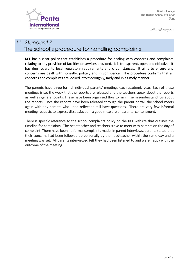

**22nd – 24thMay 2018**

#### *11. Standard 7* The school's procedure for handling complaints

KCL has a clear policy that establishes a procedure for dealing with concerns and complaints relating to any provision of facilities or services provided. It is transparent, open and effective. It has due regard to local regulatory requirements and circumstances. It aims to ensure any concerns are dealt with honestly, politely and in confidence. The procedure confirms that all concerns and complaints are looked into thoroughly, fairly and in a timely manner.

The parents have three formal individual parents' meetings each academic year. Each of these meetings is set the week that the reports are released and the teachers speak about the reports as well as general points. These have been organised thus to minimise misunderstandings about the reports. Once the reports have been released through the parent portal, the school meets again with any parents who upon reflection still have questions. There are very few informal meeting requests to express dissatisfaction: a good measure of parental contentment.

There is specific reference to the school complaints policy on the KCL website that outlines the timeline for complaints. The headteacher and teachers strive to meet with parents on the day of complaint. There have been no formal complaints made. In parent interviews, parents stated that their concerns had been followed up personally by the headteacher within the same day and a meeting was set. All parents interviewed felt they had been listened to and were happy with the outcome of the meeting.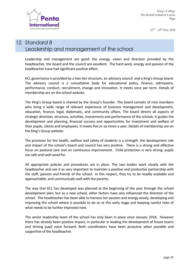

**22nd – 24thMay 2018**

#### *12. Standard 8*  Leadership and management of the school

Leadership and management are good: the energy, vision and direction provided by the headteacher, the board and the council are excellent. The hard work, energy and passion of the headteacher have had significant positive effect.

KCL governance is provided by a two-tier structure, an advisory council and a King's Group board. The advisory council is a consultative body for educational policy, finance, admissions, performance, conduct, recruitment, change and innovation. It meets once per term. Details of membership are on the school website.

The King's Group board is chaired by the Group's founder. The board consists of nine members who bring a wide range of relevant experience of business management and development, education, finance, legal, diplomatic, and community affairs. The board directs all aspects of strategic direction, structure, activities, investments and performance of the schools. It guides the development and planning, financial success and opportunities for investment and welfare of their pupils, clients and employees. It meets five or six times a year. Details of membership are on the King's Group website.

The provision for the health, welfare and safety of students is a strength: the development role and impact of the school's board and council has very positive. There is a strong and effective focus on pastoral care and on continuous improvement. Child protection is very strong: pupils are safe and well cared for.

All appropriate policies and procedures are in place. The two bodies work closely with the headteacher and see it as very important to maintain a positive and productive partnership with the staff, parents and friends of the school. In this respect, they try to be readily available and approachable, and communicate well with the parents.

The way that KCL has developed was planned at the beginning of the year through the school development plan, but as a new school, other factors have also influenced the direction of the school. The headteacher has been able to harness her passion and energy wisely, developing and improving the school where is possible to do so at this early stage and keeping careful note of what needs to be further improved next.

The senior leadership team of the school has only been in place since January 2018. However there has already been positive impact, in particular in leading the development of house teams and driving pupil voice forward. Both coordinators have been proactive when possible and supportive of the headteacher.